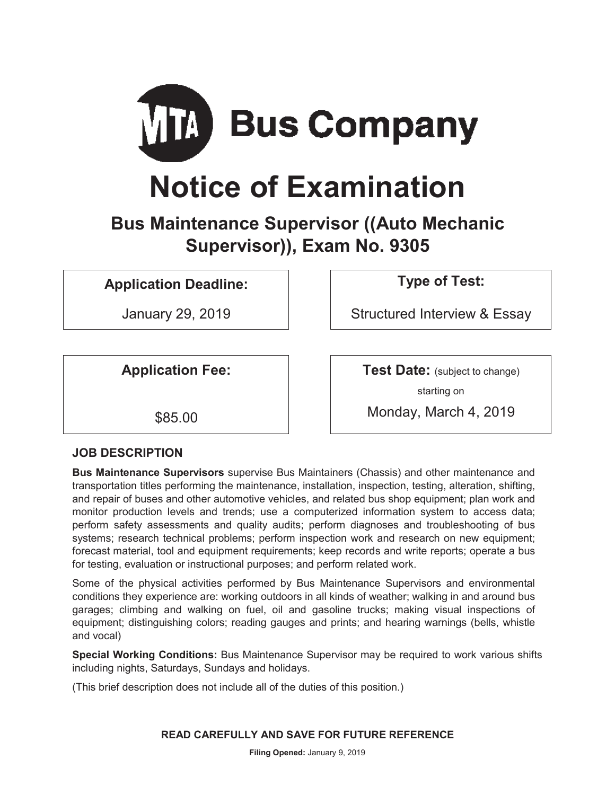

# **Notice of Examination**

# **Bus Maintenance Supervisor ((Auto Mechanic Supervisor)), Exam No. 9305**

## **Application Deadline: Type of Test:**

January 29, 2019 Structured Interview & Essay

**Application Fee:**  $\vert$  **Test Date:** (subject to change) starting on

\$85.00 Monday, March 4, 2019

## **JOB DESCRIPTION**

**Bus Maintenance Supervisors** supervise Bus Maintainers (Chassis) and other maintenance and transportation titles performing the maintenance, installation, inspection, testing, alteration, shifting, and repair of buses and other automotive vehicles, and related bus shop equipment; plan work and monitor production levels and trends; use a computerized information system to access data; perform safety assessments and quality audits; perform diagnoses and troubleshooting of bus systems; research technical problems; perform inspection work and research on new equipment; forecast material, tool and equipment requirements; keep records and write reports; operate a bus for testing, evaluation or instructional purposes; and perform related work.

Some of the physical activities performed by Bus Maintenance Supervisors and environmental conditions they experience are: working outdoors in all kinds of weather; walking in and around bus garages; climbing and walking on fuel, oil and gasoline trucks; making visual inspections of equipment; distinguishing colors; reading gauges and prints; and hearing warnings (bells, whistle and vocal)

**Special Working Conditions:** Bus Maintenance Supervisor may be required to work various shifts including nights, Saturdays, Sundays and holidays.

(This brief description does not include all of the duties of this position.)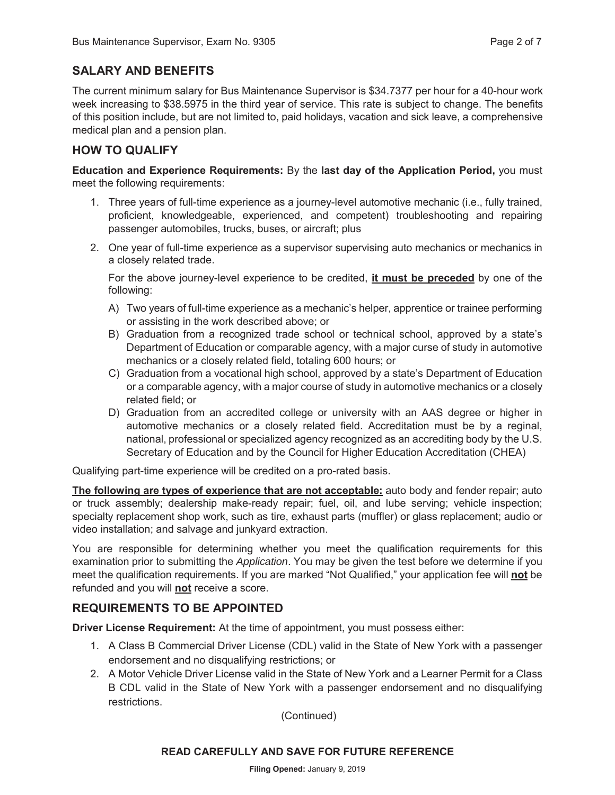## **SALARY AND BENEFITS**

The current minimum salary for Bus Maintenance Supervisor is \$34.7377 per hour for a 40-hour work week increasing to \$38.5975 in the third year of service. This rate is subject to change. The benefits of this position include, but are not limited to, paid holidays, vacation and sick leave, a comprehensive medical plan and a pension plan.

## **HOW TO QUALIFY**

**Education and Experience Requirements:** By the **last day of the Application Period,** you must meet the following requirements:

- 1. Three years of full-time experience as a journey-level automotive mechanic (i.e., fully trained, proficient, knowledgeable, experienced, and competent) troubleshooting and repairing passenger automobiles, trucks, buses, or aircraft; plus
- 2. One year of full-time experience as a supervisor supervising auto mechanics or mechanics in a closely related trade.

For the above journey-level experience to be credited, **it must be preceded** by one of the following:

- A) Two years of full-time experience as a mechanic's helper, apprentice or trainee performing or assisting in the work described above; or
- B) Graduation from a recognized trade school or technical school, approved by a state's Department of Education or comparable agency, with a major curse of study in automotive mechanics or a closely related field, totaling 600 hours; or
- C) Graduation from a vocational high school, approved by a state's Department of Education or a comparable agency, with a major course of study in automotive mechanics or a closely related field; or
- D) Graduation from an accredited college or university with an AAS degree or higher in automotive mechanics or a closely related field. Accreditation must be by a reginal, national, professional or specialized agency recognized as an accrediting body by the U.S. Secretary of Education and by the Council for Higher Education Accreditation (CHEA)

Qualifying part-time experience will be credited on a pro-rated basis.

**The following are types of experience that are not acceptable:** auto body and fender repair; auto or truck assembly; dealership make-ready repair; fuel, oil, and lube serving; vehicle inspection; specialty replacement shop work, such as tire, exhaust parts (muffler) or glass replacement; audio or video installation; and salvage and junkyard extraction.

You are responsible for determining whether you meet the qualification requirements for this examination prior to submitting the *Application*. You may be given the test before we determine if you meet the qualification requirements. If you are marked "Not Qualified," your application fee will **not** be refunded and you will **not** receive a score.

## **REQUIREMENTS TO BE APPOINTED**

**Driver License Requirement:** At the time of appointment, you must possess either:

- 1. A Class B Commercial Driver License (CDL) valid in the State of New York with a passenger endorsement and no disqualifying restrictions; or
- 2. A Motor Vehicle Driver License valid in the State of New York and a Learner Permit for a Class B CDL valid in the State of New York with a passenger endorsement and no disqualifying restrictions.

(Continued)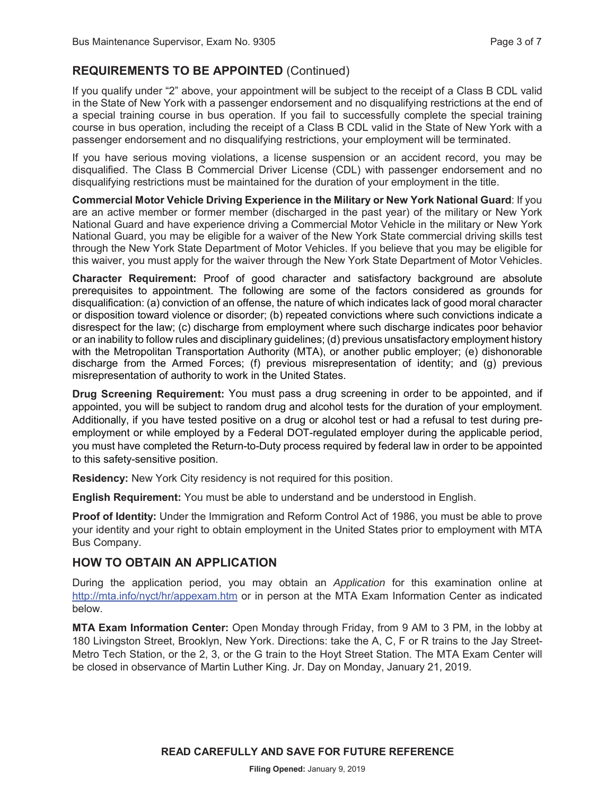## **REQUIREMENTS TO BE APPOINTED** (Continued)

If you qualify under "2" above, your appointment will be subject to the receipt of a Class B CDL valid in the State of New York with a passenger endorsement and no disqualifying restrictions at the end of a special training course in bus operation. If you fail to successfully complete the special training course in bus operation, including the receipt of a Class B CDL valid in the State of New York with a passenger endorsement and no disqualifying restrictions, your employment will be terminated.

If you have serious moving violations, a license suspension or an accident record, you may be disqualified. The Class B Commercial Driver License (CDL) with passenger endorsement and no disqualifying restrictions must be maintained for the duration of your employment in the title.

**Commercial Motor Vehicle Driving Experience in the Military or New York National Guard**: If you are an active member or former member (discharged in the past year) of the military or New York National Guard and have experience driving a Commercial Motor Vehicle in the military or New York National Guard, you may be eligible for a waiver of the New York State commercial driving skills test through the New York State Department of Motor Vehicles. If you believe that you may be eligible for this waiver, you must apply for the waiver through the New York State Department of Motor Vehicles.

**Character Requirement:** Proof of good character and satisfactory background are absolute prerequisites to appointment. The following are some of the factors considered as grounds for disqualification: (a) conviction of an offense, the nature of which indicates lack of good moral character or disposition toward violence or disorder; (b) repeated convictions where such convictions indicate a disrespect for the law; (c) discharge from employment where such discharge indicates poor behavior or an inability to follow rules and disciplinary guidelines; (d) previous unsatisfactory employment history with the Metropolitan Transportation Authority (MTA), or another public employer; (e) dishonorable discharge from the Armed Forces; (f) previous misrepresentation of identity; and (g) previous misrepresentation of authority to work in the United States.

**Drug Screening Requirement:** You must pass a drug screening in order to be appointed, and if appointed, you will be subject to random drug and alcohol tests for the duration of your employment. Additionally, if you have tested positive on a drug or alcohol test or had a refusal to test during preemployment or while employed by a Federal DOT-regulated employer during the applicable period, you must have completed the Return-to-Duty process required by federal law in order to be appointed to this safety-sensitive position.

**Residency:** New York City residency is not required for this position.

**English Requirement:** You must be able to understand and be understood in English.

**Proof of Identity:** Under the Immigration and Reform Control Act of 1986, you must be able to prove your identity and your right to obtain employment in the United States prior to employment with MTA Bus Company.

## **HOW TO OBTAIN AN APPLICATION**

During the application period, you may obtain an *Application* for this examination online at http://mta.info/nyct/hr/appexam.htm or in person at the MTA Exam Information Center as indicated below.

**MTA Exam Information Center:** Open Monday through Friday, from 9 AM to 3 PM, in the lobby at 180 Livingston Street, Brooklyn, New York. Directions: take the A, C, F or R trains to the Jay Street-Metro Tech Station, or the 2, 3, or the G train to the Hoyt Street Station. The MTA Exam Center will be closed in observance of Martin Luther King. Jr. Day on Monday, January 21, 2019.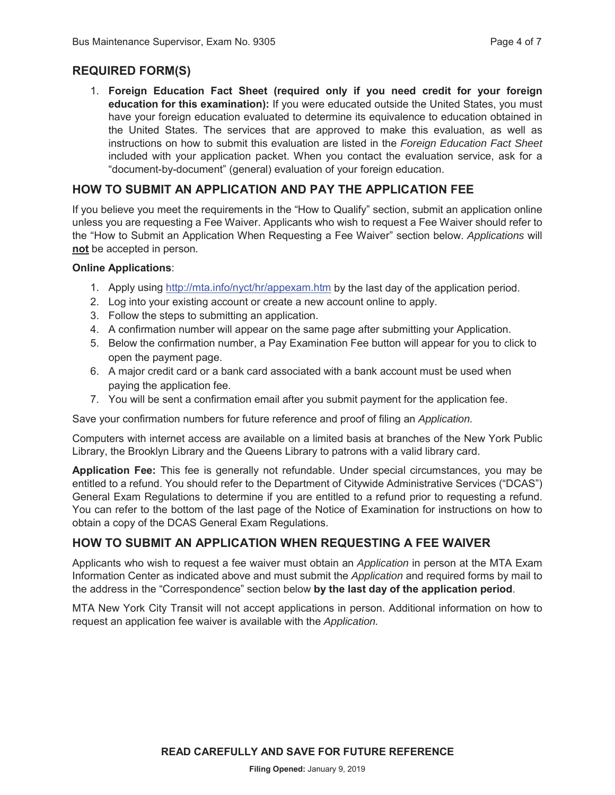## **REQUIRED FORM(S)**

1. **Foreign Education Fact Sheet (required only if you need credit for your foreign education for this examination):** If you were educated outside the United States, you must have your foreign education evaluated to determine its equivalence to education obtained in the United States. The services that are approved to make this evaluation, as well as instructions on how to submit this evaluation are listed in the *Foreign Education Fact Sheet* included with your application packet. When you contact the evaluation service, ask for a "document-by-document" (general) evaluation of your foreign education.

#### **HOW TO SUBMIT AN APPLICATION AND PAY THE APPLICATION FEE**

If you believe you meet the requirements in the "How to Qualify" section, submit an application online unless you are requesting a Fee Waiver. Applicants who wish to request a Fee Waiver should refer to the "How to Submit an Application When Requesting a Fee Waiver" section below. *Applications* will **not** be accepted in person.

#### **Online Applications**:

- 1. Apply using http://mta.info/nyct/hr/appexam.htm by the last day of the application period.
- 2. Log into your existing account or create a new account online to apply.
- 3. Follow the steps to submitting an application.
- 4. A confirmation number will appear on the same page after submitting your Application.
- 5. Below the confirmation number, a Pay Examination Fee button will appear for you to click to open the payment page.
- 6. A major credit card or a bank card associated with a bank account must be used when paying the application fee.
- 7. You will be sent a confirmation email after you submit payment for the application fee.

Save your confirmation numbers for future reference and proof of filing an *Application.*

Computers with internet access are available on a limited basis at branches of the New York Public Library, the Brooklyn Library and the Queens Library to patrons with a valid library card.

**Application Fee:** This fee is generally not refundable. Under special circumstances, you may be entitled to a refund. You should refer to the Department of Citywide Administrative Services ("DCAS") General Exam Regulations to determine if you are entitled to a refund prior to requesting a refund. You can refer to the bottom of the last page of the Notice of Examination for instructions on how to obtain a copy of the DCAS General Exam Regulations.

#### **HOW TO SUBMIT AN APPLICATION WHEN REQUESTING A FEE WAIVER**

Applicants who wish to request a fee waiver must obtain an *Application* in person at the MTA Exam Information Center as indicated above and must submit the *Application* and required forms by mail to the address in the "Correspondence" section below **by the last day of the application period**.

MTA New York City Transit will not accept applications in person. Additional information on how to request an application fee waiver is available with the *Application.*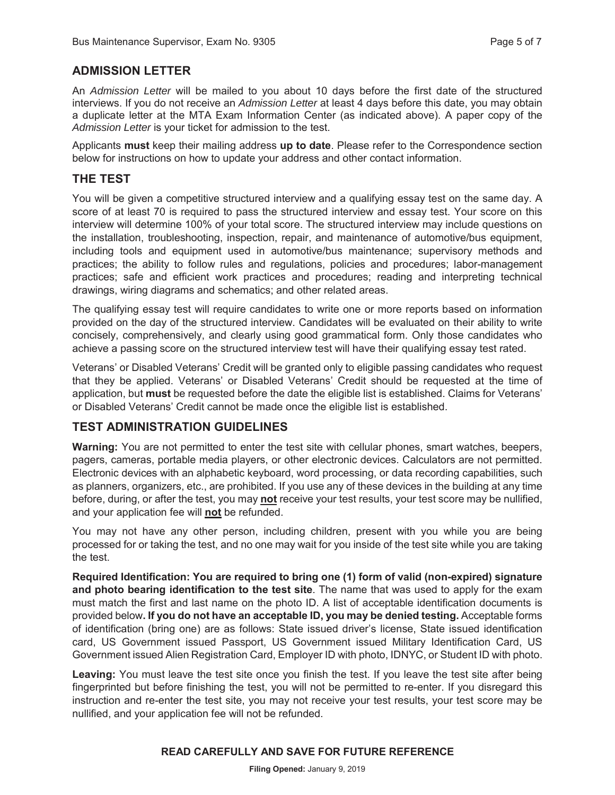## **ADMISSION LETTER**

An *Admission Letter* will be mailed to you about 10 days before the first date of the structured interviews. If you do not receive an *Admission Letter* at least 4 days before this date, you may obtain a duplicate letter at the MTA Exam Information Center (as indicated above). A paper copy of the *Admission Letter* is your ticket for admission to the test.

Applicants **must** keep their mailing address **up to date**. Please refer to the Correspondence section below for instructions on how to update your address and other contact information.

#### **THE TEST**

You will be given a competitive structured interview and a qualifying essay test on the same day. A score of at least 70 is required to pass the structured interview and essay test. Your score on this interview will determine 100% of your total score. The structured interview may include questions on the installation, troubleshooting, inspection, repair, and maintenance of automotive/bus equipment, including tools and equipment used in automotive/bus maintenance; supervisory methods and practices; the ability to follow rules and regulations, policies and procedures; labor-management practices; safe and efficient work practices and procedures; reading and interpreting technical drawings, wiring diagrams and schematics; and other related areas.

The qualifying essay test will require candidates to write one or more reports based on information provided on the day of the structured interview. Candidates will be evaluated on their ability to write concisely, comprehensively, and clearly using good grammatical form. Only those candidates who achieve a passing score on the structured interview test will have their qualifying essay test rated.

Veterans' or Disabled Veterans' Credit will be granted only to eligible passing candidates who request that they be applied. Veterans' or Disabled Veterans' Credit should be requested at the time of application, but **must** be requested before the date the eligible list is established. Claims for Veterans' or Disabled Veterans' Credit cannot be made once the eligible list is established.

#### **TEST ADMINISTRATION GUIDELINES**

**Warning:** You are not permitted to enter the test site with cellular phones, smart watches, beepers, pagers, cameras, portable media players, or other electronic devices. Calculators are not permitted. Electronic devices with an alphabetic keyboard, word processing, or data recording capabilities, such as planners, organizers, etc., are prohibited. If you use any of these devices in the building at any time before, during, or after the test, you may **not** receive your test results, your test score may be nullified, and your application fee will **not** be refunded.

You may not have any other person, including children, present with you while you are being processed for or taking the test, and no one may wait for you inside of the test site while you are taking the test.

**Required Identification: You are required to bring one (1) form of valid (non-expired) signature and photo bearing identification to the test site**. The name that was used to apply for the exam must match the first and last name on the photo ID. A list of acceptable identification documents is provided below**. If you do not have an acceptable ID, you may be denied testing.** Acceptable forms of identification (bring one) are as follows: State issued driver's license, State issued identification card, US Government issued Passport, US Government issued Military Identification Card, US Government issued Alien Registration Card, Employer ID with photo, IDNYC, or Student ID with photo.

Leaving: You must leave the test site once you finish the test. If you leave the test site after being fingerprinted but before finishing the test, you will not be permitted to re-enter. If you disregard this instruction and re-enter the test site, you may not receive your test results, your test score may be nullified, and your application fee will not be refunded.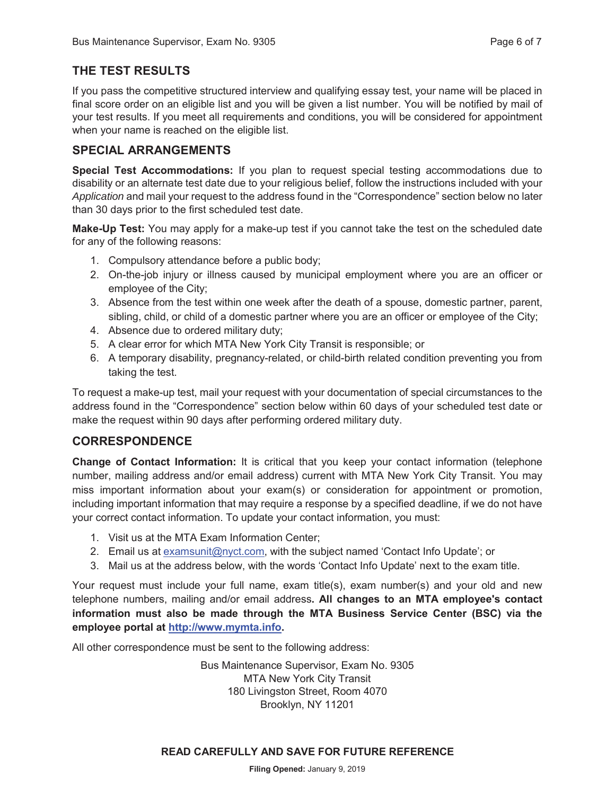## **THE TEST RESULTS**

If you pass the competitive structured interview and qualifying essay test, your name will be placed in final score order on an eligible list and you will be given a list number. You will be notified by mail of your test results. If you meet all requirements and conditions, you will be considered for appointment when your name is reached on the eligible list.

## **SPECIAL ARRANGEMENTS**

**Special Test Accommodations:** If you plan to request special testing accommodations due to disability or an alternate test date due to your religious belief, follow the instructions included with your *Application* and mail your request to the address found in the "Correspondence" section below no later than 30 days prior to the first scheduled test date.

**Make-Up Test:** You may apply for a make-up test if you cannot take the test on the scheduled date for any of the following reasons:

- 1. Compulsory attendance before a public body;
- 2. On-the-job injury or illness caused by municipal employment where you are an officer or employee of the City;
- 3. Absence from the test within one week after the death of a spouse, domestic partner, parent, sibling, child, or child of a domestic partner where you are an officer or employee of the City;
- 4. Absence due to ordered military duty;
- 5. A clear error for which MTA New York City Transit is responsible; or
- 6. A temporary disability, pregnancy-related, or child-birth related condition preventing you from taking the test.

To request a make-up test, mail your request with your documentation of special circumstances to the address found in the "Correspondence" section below within 60 days of your scheduled test date or make the request within 90 days after performing ordered military duty.

## **CORRESPONDENCE**

**Change of Contact Information:** It is critical that you keep your contact information (telephone number, mailing address and/or email address) current with MTA New York City Transit. You may miss important information about your exam(s) or consideration for appointment or promotion, including important information that may require a response by a specified deadline, if we do not have your correct contact information. To update your contact information, you must:

- 1. Visit us at the MTA Exam Information Center;
- 2. Email us at examsunit@nyct.com, with the subject named 'Contact Info Update'; or
- 3. Mail us at the address below, with the words 'Contact Info Update' next to the exam title.

Your request must include your full name, exam title(s), exam number(s) and your old and new telephone numbers, mailing and/or email address**. All changes to an MTA employee's contact information must also be made through the MTA Business Service Center (BSC) via the employee portal at http://www.mymta.info.**

All other correspondence must be sent to the following address:

Bus Maintenance Supervisor, Exam No. 9305 MTA New York City Transit 180 Livingston Street, Room 4070 Brooklyn, NY 11201